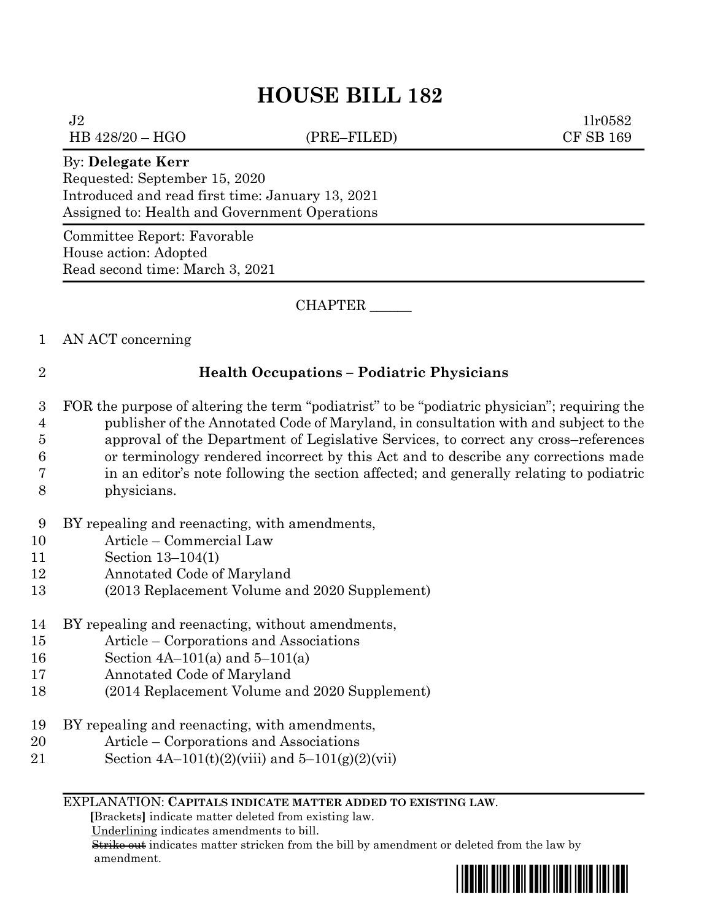$J2 \t1lr0582$ HB 428/20 – HGO (PRE–FILED) CF SB 169

## By: **Delegate Kerr**

Requested: September 15, 2020 Introduced and read first time: January 13, 2021 Assigned to: Health and Government Operations

Committee Report: Favorable House action: Adopted Read second time: March 3, 2021

CHAPTER \_\_\_\_\_\_

1 AN ACT concerning

# 2 **Health Occupations – Podiatric Physicians**

- 3 FOR the purpose of altering the term "podiatrist" to be "podiatric physician"; requiring the 4 publisher of the Annotated Code of Maryland, in consultation with and subject to the 5 approval of the Department of Legislative Services, to correct any cross–references 6 or terminology rendered incorrect by this Act and to describe any corrections made 7 in an editor's note following the section affected; and generally relating to podiatric
- 8 physicians.
- 9 BY repealing and reenacting, with amendments,
- 10 Article Commercial Law
- 11 Section 13–104(1)
- 12 Annotated Code of Maryland
- 13 (2013 Replacement Volume and 2020 Supplement)
- 14 BY repealing and reenacting, without amendments,
- 15 Article Corporations and Associations
- 16 Section 4A–101(a) and 5–101(a)
- 17 Annotated Code of Maryland
- 18 (2014 Replacement Volume and 2020 Supplement)
- 19 BY repealing and reenacting, with amendments,
- 20 Article Corporations and Associations
- 21 Section  $4A-101(t)(2)(viii)$  and  $5-101(g)(2)(viii)$

#### EXPLANATION: **CAPITALS INDICATE MATTER ADDED TO EXISTING LAW**.

 **[**Brackets**]** indicate matter deleted from existing law.

Underlining indicates amendments to bill.

 Strike out indicates matter stricken from the bill by amendment or deleted from the law by amendment.

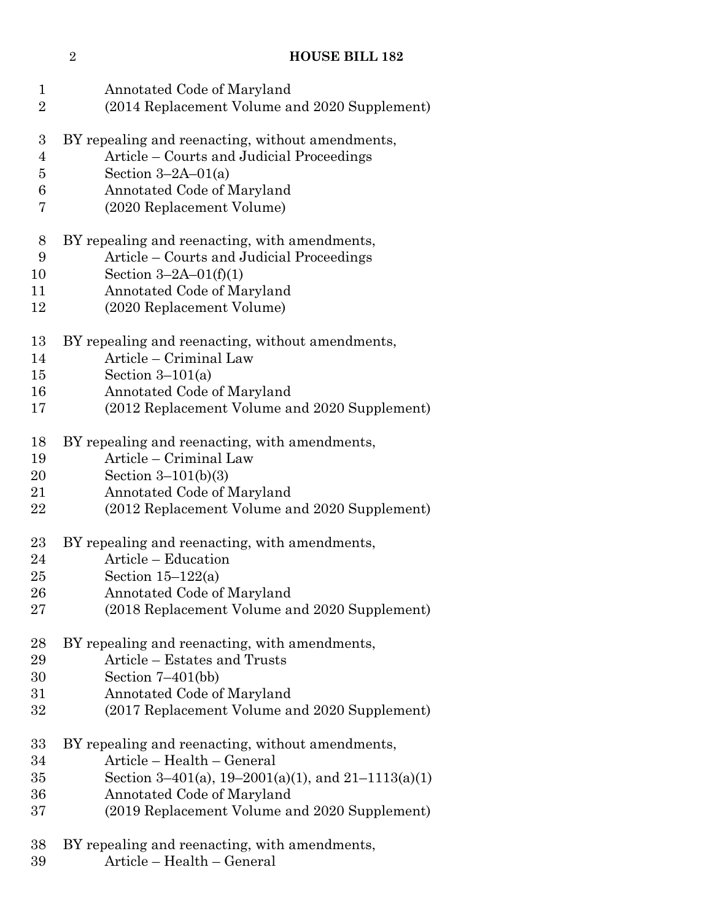| $\mathbf 1$      | Annotated Code of Maryland                         |
|------------------|----------------------------------------------------|
| $\overline{2}$   | (2014 Replacement Volume and 2020 Supplement)      |
| $\boldsymbol{3}$ | BY repealing and reenacting, without amendments,   |
| $\overline{4}$   | Article – Courts and Judicial Proceedings          |
| $\overline{5}$   | Section $3-2A-01(a)$                               |
| 6                | Annotated Code of Maryland                         |
| 7                | (2020 Replacement Volume)                          |
| 8                | BY repealing and reenacting, with amendments,      |
| $\boldsymbol{9}$ | Article – Courts and Judicial Proceedings          |
| 10               | Section $3-2A-01(f)(1)$                            |
| 11               | Annotated Code of Maryland                         |
| 12               | (2020 Replacement Volume)                          |
| 13               | BY repealing and reenacting, without amendments,   |
| 14               | Article – Criminal Law                             |
| 15               | Section $3-101(a)$                                 |
| 16               | Annotated Code of Maryland                         |
| 17               | (2012 Replacement Volume and 2020 Supplement)      |
| 18               | BY repealing and reenacting, with amendments,      |
| 19               | Article – Criminal Law                             |
| 20               | Section $3-101(b)(3)$                              |
| 21               | Annotated Code of Maryland                         |
| 22               | (2012 Replacement Volume and 2020 Supplement)      |
| $23\,$           | BY repealing and reenacting, with amendments,      |
| 24               | Article – Education                                |
| $25\,$           | Section $15-122(a)$                                |
| 26               | Annotated Code of Maryland                         |
| $27\,$           | (2018 Replacement Volume and 2020 Supplement)      |
| 28               | BY repealing and reenacting, with amendments,      |
| 29               | Article – Estates and Trusts                       |
| 30               | Section $7-401(bb)$                                |
| $31\,$           | Annotated Code of Maryland                         |
| 32               | (2017 Replacement Volume and 2020 Supplement)      |
| $33\,$           | BY repealing and reenacting, without amendments,   |
| 34               | Article - Health - General                         |
| $35\,$           | Section 3–401(a), 19–2001(a)(1), and 21–1113(a)(1) |
| 36               | Annotated Code of Maryland                         |
| 37               | (2019 Replacement Volume and 2020 Supplement)      |
| 38               | BY repealing and reenacting, with amendments,      |

Article – Health – General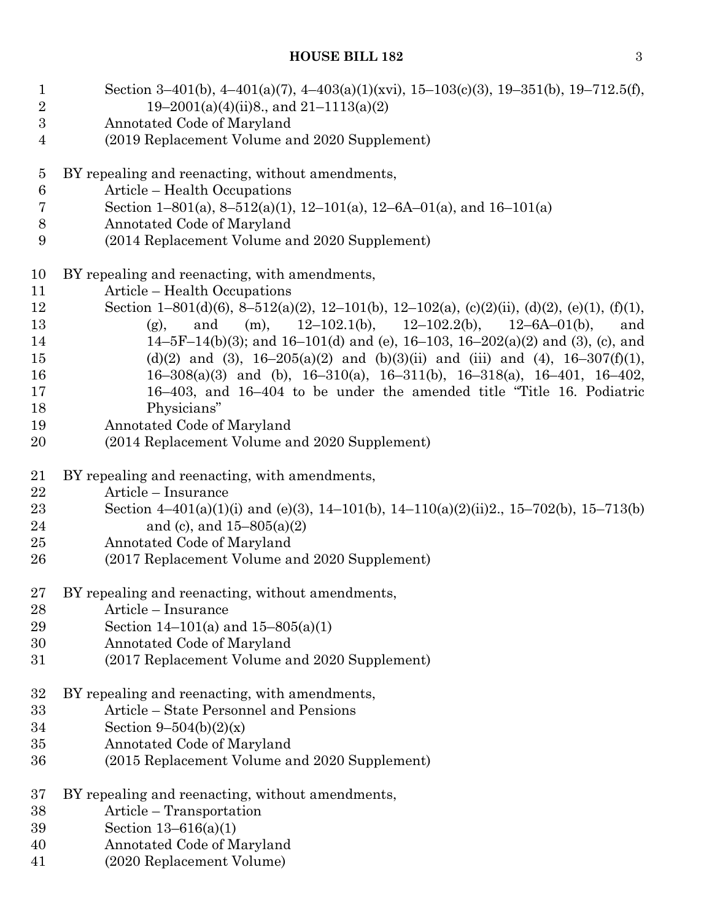| $\mathbf{1}$                   | Section 3-401(b), 4-401(a)(7), 4-403(a)(1)(xvi), 15-103(c)(3), 19-351(b), 19-712.5(f),<br>$19-2001(a)(4)(ii)8$ , and $21-1113(a)(2)$ |
|--------------------------------|--------------------------------------------------------------------------------------------------------------------------------------|
| $\sqrt{2}$<br>$\boldsymbol{3}$ |                                                                                                                                      |
| $\overline{4}$                 | Annotated Code of Maryland<br>(2019 Replacement Volume and 2020 Supplement)                                                          |
|                                |                                                                                                                                      |
| $\overline{5}$                 | BY repealing and reenacting, without amendments,                                                                                     |
| $6\phantom{.}6$                | Article – Health Occupations                                                                                                         |
| 7                              | Section 1-801(a), 8-512(a)(1), 12-101(a), 12-6A-01(a), and 16-101(a)                                                                 |
| $8\,$                          | Annotated Code of Maryland                                                                                                           |
| 9                              | (2014 Replacement Volume and 2020 Supplement)                                                                                        |
| 10                             | BY repealing and reenacting, with amendments,                                                                                        |
| 11                             | Article – Health Occupations                                                                                                         |
| 12                             | Section 1-801(d)(6), 8-512(a)(2), 12-101(b), 12-102(a), (c)(2)(ii), (d)(2), (e)(1), (f)(1),                                          |
| 13                             | and (m), $12-102.1(b)$ , $12-102.2(b)$ , $12-6A-01(b)$ ,<br>(g),<br>and                                                              |
| 14                             | $14-5F-14(b)(3)$ ; and $16-101(d)$ and (e), $16-103$ , $16-202(a)(2)$ and (3), (c), and                                              |
| 15                             | (d)(2) and (3), $16-205(a)(2)$ and (b)(3)(ii) and (iii) and (4), $16-307(f)(1)$ ,                                                    |
| 16                             | 16-308(a)(3) and (b), 16-310(a), 16-311(b), 16-318(a), 16-401, 16-402,                                                               |
| 17                             | 16–403, and 16–404 to be under the amended title "Title 16. Podiatric                                                                |
| 18                             | Physicians"                                                                                                                          |
| 19                             | Annotated Code of Maryland                                                                                                           |
| 20                             | (2014 Replacement Volume and 2020 Supplement)                                                                                        |
| 21                             | BY repealing and reenacting, with amendments,                                                                                        |
| 22                             | Article - Insurance                                                                                                                  |
| 23                             | Section 4-401(a)(1)(i) and (e)(3), 14-101(b), 14-110(a)(2)(ii)2, 15-702(b), 15-713(b)                                                |
| 24                             | and (c), and $15-805(a)(2)$                                                                                                          |
| 25                             | Annotated Code of Maryland                                                                                                           |
| 26                             | (2017 Replacement Volume and 2020 Supplement)                                                                                        |
| 27                             | BY repealing and reenacting, without amendments,                                                                                     |
| 28                             | Article – Insurance                                                                                                                  |
| 29                             | Section 14-101(a) and 15-805(a)(1)                                                                                                   |
| 30                             | Annotated Code of Maryland                                                                                                           |
| 31                             | (2017 Replacement Volume and 2020 Supplement)                                                                                        |
| 32                             | BY repealing and reenacting, with amendments,                                                                                        |
| 33                             | Article - State Personnel and Pensions                                                                                               |
| 34                             | Section 9–504(b)(2)(x)                                                                                                               |
| 35                             | Annotated Code of Maryland                                                                                                           |
| 36                             | (2015 Replacement Volume and 2020 Supplement)                                                                                        |
| 37                             | BY repealing and reenacting, without amendments,                                                                                     |
| 38                             | Article – Transportation                                                                                                             |
| 39                             | Section 13-616(a)(1)                                                                                                                 |
| 40                             | Annotated Code of Maryland                                                                                                           |
| 41                             | (2020 Replacement Volume)                                                                                                            |
|                                |                                                                                                                                      |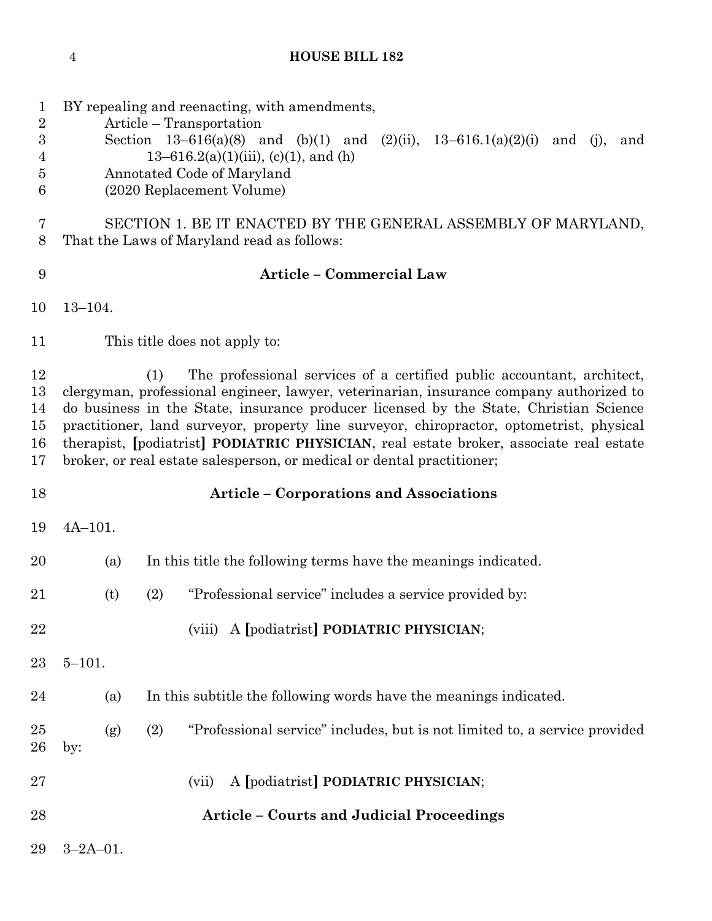| $\mathbf 1$<br>$\overline{2}$<br>$\boldsymbol{3}$<br>4<br>5<br>6 | BY repealing and reenacting, with amendments,<br>Article – Transportation<br>Section 13-616(a)(8) and (b)(1) and (2)(ii), $13-616.1(a)(2)(i)$ and (j), and<br>13–616.2(a)(1)(iii), (c)(1), and (h)<br>Annotated Code of Maryland<br>(2020 Replacement Volume)                                                                                                                                                                                                                                                                     |                                                                                   |  |
|------------------------------------------------------------------|-----------------------------------------------------------------------------------------------------------------------------------------------------------------------------------------------------------------------------------------------------------------------------------------------------------------------------------------------------------------------------------------------------------------------------------------------------------------------------------------------------------------------------------|-----------------------------------------------------------------------------------|--|
| 7<br>$8\,$                                                       | SECTION 1. BE IT ENACTED BY THE GENERAL ASSEMBLY OF MARYLAND,<br>That the Laws of Maryland read as follows:                                                                                                                                                                                                                                                                                                                                                                                                                       |                                                                                   |  |
| 9                                                                | <b>Article - Commercial Law</b>                                                                                                                                                                                                                                                                                                                                                                                                                                                                                                   |                                                                                   |  |
| 10                                                               | $13 - 104.$                                                                                                                                                                                                                                                                                                                                                                                                                                                                                                                       |                                                                                   |  |
| 11                                                               |                                                                                                                                                                                                                                                                                                                                                                                                                                                                                                                                   | This title does not apply to:                                                     |  |
| 12<br>13<br>14<br>15<br>16<br>17                                 | The professional services of a certified public accountant, architect,<br>(1)<br>clergyman, professional engineer, lawyer, veterinarian, insurance company authorized to<br>do business in the State, insurance producer licensed by the State, Christian Science<br>practitioner, land surveyor, property line surveyor, chiropractor, optometrist, physical<br>therapist, [podiatrist] PODIATRIC PHYSICIAN, real estate broker, associate real estate<br>broker, or real estate salesperson, or medical or dental practitioner; |                                                                                   |  |
| 18                                                               |                                                                                                                                                                                                                                                                                                                                                                                                                                                                                                                                   | <b>Article - Corporations and Associations</b>                                    |  |
| 19                                                               | $4A-101.$                                                                                                                                                                                                                                                                                                                                                                                                                                                                                                                         |                                                                                   |  |
| 20                                                               | (a)                                                                                                                                                                                                                                                                                                                                                                                                                                                                                                                               | In this title the following terms have the meanings indicated.                    |  |
| 21                                                               | (t)                                                                                                                                                                                                                                                                                                                                                                                                                                                                                                                               | "Professional service" includes a service provided by:<br>(2)                     |  |
| 22                                                               |                                                                                                                                                                                                                                                                                                                                                                                                                                                                                                                                   | (viii) A [podiatrist] PODIATRIC PHYSICIAN;                                        |  |
| 23                                                               | $5 - 101.$                                                                                                                                                                                                                                                                                                                                                                                                                                                                                                                        |                                                                                   |  |
| 24                                                               | (a)                                                                                                                                                                                                                                                                                                                                                                                                                                                                                                                               | In this subtitle the following words have the meanings indicated.                 |  |
| 25<br>26                                                         | (g)<br>by:                                                                                                                                                                                                                                                                                                                                                                                                                                                                                                                        | "Professional service" includes, but is not limited to, a service provided<br>(2) |  |
| 27                                                               |                                                                                                                                                                                                                                                                                                                                                                                                                                                                                                                                   | A [podiatrist] PODIATRIC PHYSICIAN;<br>(vii)                                      |  |
| 28                                                               |                                                                                                                                                                                                                                                                                                                                                                                                                                                                                                                                   | <b>Article – Courts and Judicial Proceedings</b>                                  |  |
| 29                                                               | $3 - 2A - 01$ .                                                                                                                                                                                                                                                                                                                                                                                                                                                                                                                   |                                                                                   |  |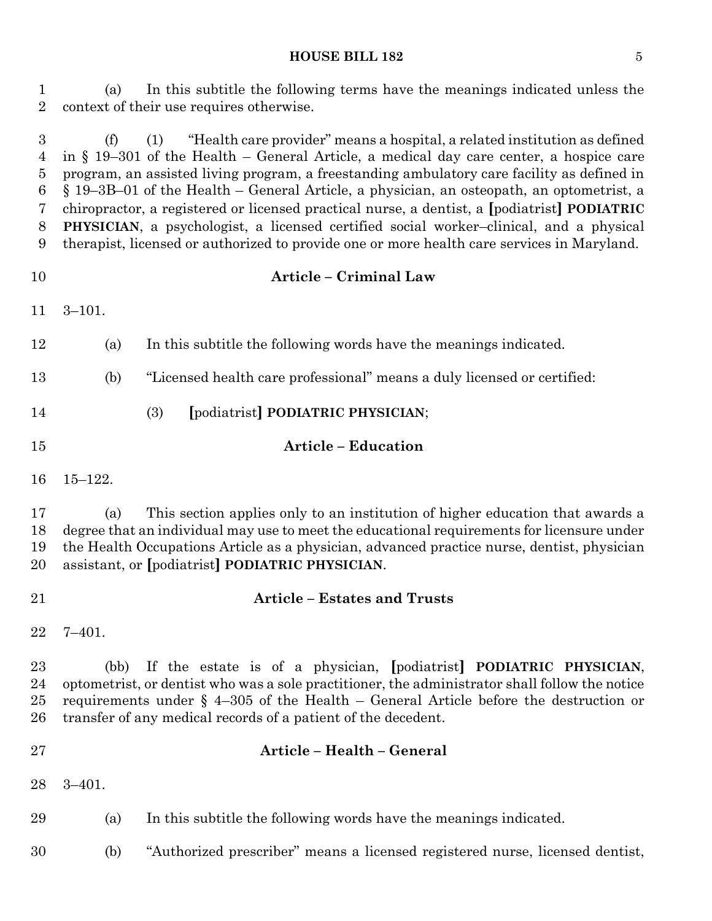(a) In this subtitle the following terms have the meanings indicated unless the context of their use requires otherwise.

 (f) (1) "Health care provider" means a hospital, a related institution as defined in § 19–301 of the Health – General Article, a medical day care center, a hospice care program, an assisted living program, a freestanding ambulatory care facility as defined in § 19–3B–01 of the Health – General Article, a physician, an osteopath, an optometrist, a chiropractor, a registered or licensed practical nurse, a dentist, a **[**podiatrist**] PODIATRIC PHYSICIAN**, a psychologist, a licensed certified social worker–clinical, and a physical therapist, licensed or authorized to provide one or more health care services in Maryland.

# **Article – Criminal Law**

3–101.

- (a) In this subtitle the following words have the meanings indicated.
- (b) "Licensed health care professional" means a duly licensed or certified:
- (3) **[**podiatrist**] PODIATRIC PHYSICIAN**;
- **Article – Education**
- 15–122.

 (a) This section applies only to an institution of higher education that awards a degree that an individual may use to meet the educational requirements for licensure under the Health Occupations Article as a physician, advanced practice nurse, dentist, physician assistant, or **[**podiatrist**] PODIATRIC PHYSICIAN**.

- 
- **Article – Estates and Trusts**
- 7–401.

 (bb) If the estate is of a physician, **[**podiatrist**] PODIATRIC PHYSICIAN**, optometrist, or dentist who was a sole practitioner, the administrator shall follow the notice 25 requirements under  $\S$  4–305 of the Health – General Article before the destruction or transfer of any medical records of a patient of the decedent.

- **Article – Health – General**
	- 3–401.

(a) In this subtitle the following words have the meanings indicated.

(b) "Authorized prescriber" means a licensed registered nurse, licensed dentist,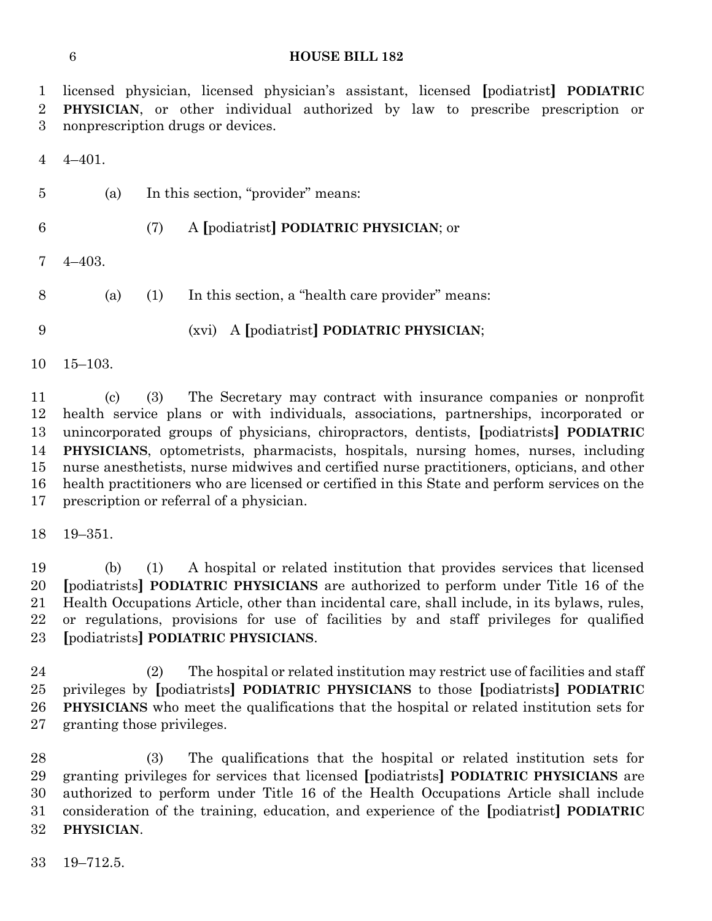licensed physician, licensed physician's assistant, licensed **[**podiatrist**] PODIATRIC PHYSICIAN**, or other individual authorized by law to prescribe prescription or nonprescription drugs or devices.

4–401.

- (a) In this section, "provider" means:
- 
- (7) A **[**podiatrist**] PODIATRIC PHYSICIAN**; or

4–403.

(a) (1) In this section, a "health care provider" means:

(xvi) A **[**podiatrist**] PODIATRIC PHYSICIAN**;

15–103.

 (c) (3) The Secretary may contract with insurance companies or nonprofit health service plans or with individuals, associations, partnerships, incorporated or unincorporated groups of physicians, chiropractors, dentists, **[**podiatrists**] PODIATRIC PHYSICIANS**, optometrists, pharmacists, hospitals, nursing homes, nurses, including nurse anesthetists, nurse midwives and certified nurse practitioners, opticians, and other health practitioners who are licensed or certified in this State and perform services on the prescription or referral of a physician.

19–351.

 (b) (1) A hospital or related institution that provides services that licensed **[**podiatrists**] PODIATRIC PHYSICIANS** are authorized to perform under Title 16 of the Health Occupations Article, other than incidental care, shall include, in its bylaws, rules, or regulations, provisions for use of facilities by and staff privileges for qualified **[**podiatrists**] PODIATRIC PHYSICIANS**.

 (2) The hospital or related institution may restrict use of facilities and staff privileges by **[**podiatrists**] PODIATRIC PHYSICIANS** to those **[**podiatrists**] PODIATRIC PHYSICIANS** who meet the qualifications that the hospital or related institution sets for granting those privileges.

 (3) The qualifications that the hospital or related institution sets for granting privileges for services that licensed **[**podiatrists**] PODIATRIC PHYSICIANS** are authorized to perform under Title 16 of the Health Occupations Article shall include consideration of the training, education, and experience of the **[**podiatrist**] PODIATRIC PHYSICIAN**.

19–712.5.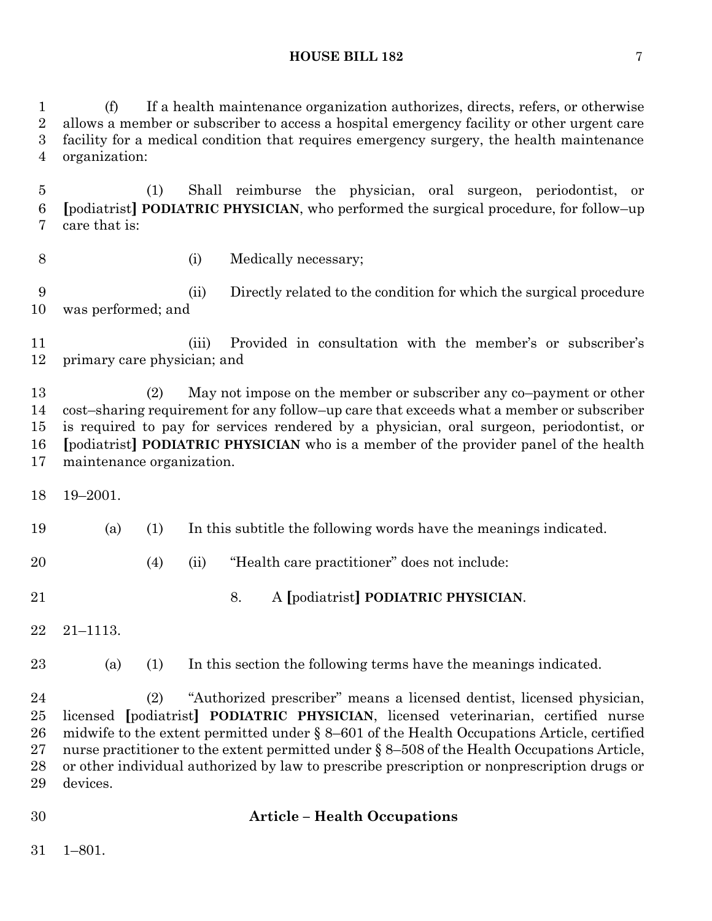(f) If a health maintenance organization authorizes, directs, refers, or otherwise allows a member or subscriber to access a hospital emergency facility or other urgent care facility for a medical condition that requires emergency surgery, the health maintenance organization:

 (1) Shall reimburse the physician, oral surgeon, periodontist, or **[**podiatrist**] PODIATRIC PHYSICIAN**, who performed the surgical procedure, for follow–up care that is:

- 
- (i) Medically necessary;

 (ii) Directly related to the condition for which the surgical procedure was performed; and

 (iii) Provided in consultation with the member's or subscriber's primary care physician; and

 (2) May not impose on the member or subscriber any co–payment or other cost–sharing requirement for any follow–up care that exceeds what a member or subscriber is required to pay for services rendered by a physician, oral surgeon, periodontist, or **[**podiatrist**] PODIATRIC PHYSICIAN** who is a member of the provider panel of the health maintenance organization.

19–2001.

(a) (1) In this subtitle the following words have the meanings indicated.

(4) (ii) "Health care practitioner" does not include:

- 8. A **[**podiatrist**] PODIATRIC PHYSICIAN**.
- 21–1113.

(a) (1) In this section the following terms have the meanings indicated.

 (2) "Authorized prescriber" means a licensed dentist, licensed physician, licensed **[**podiatrist**] PODIATRIC PHYSICIAN**, licensed veterinarian, certified nurse midwife to the extent permitted under § 8–601 of the Health Occupations Article, certified nurse practitioner to the extent permitted under § 8–508 of the Health Occupations Article, or other individual authorized by law to prescribe prescription or nonprescription drugs or devices.

# **Article – Health Occupations**

1–801.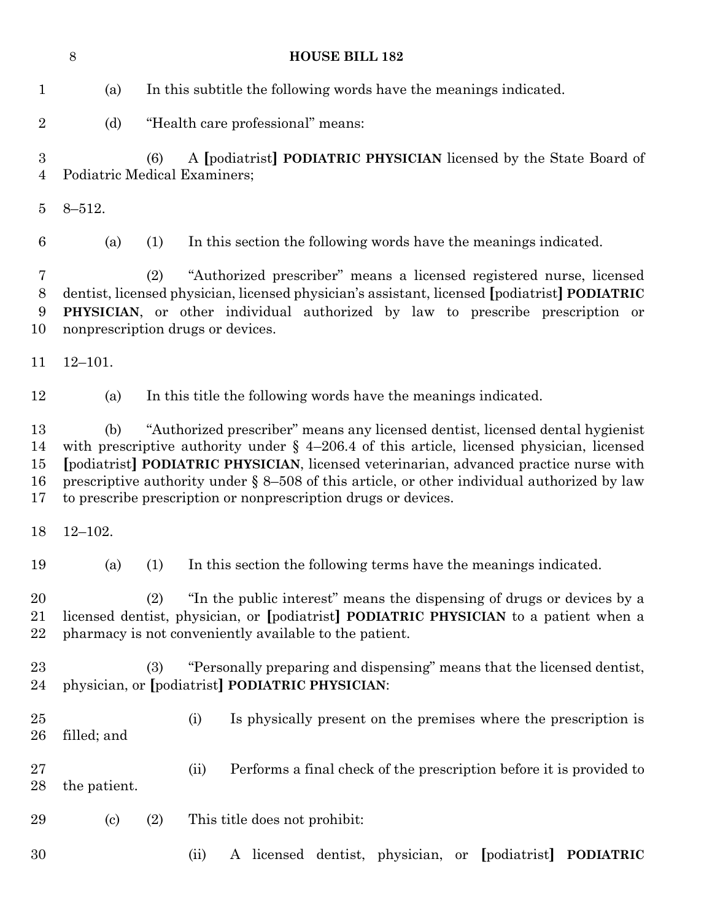|                                    | $8\,$<br><b>HOUSE BILL 182</b>                                                                                                                                                                                                                                                                                                                                                                                                                    |                                                                                                                                                                                                                                                                                                  |  |
|------------------------------------|---------------------------------------------------------------------------------------------------------------------------------------------------------------------------------------------------------------------------------------------------------------------------------------------------------------------------------------------------------------------------------------------------------------------------------------------------|--------------------------------------------------------------------------------------------------------------------------------------------------------------------------------------------------------------------------------------------------------------------------------------------------|--|
| $\mathbf{1}$                       | (a)                                                                                                                                                                                                                                                                                                                                                                                                                                               | In this subtitle the following words have the meanings indicated.                                                                                                                                                                                                                                |  |
| $\overline{2}$                     | (d)                                                                                                                                                                                                                                                                                                                                                                                                                                               | "Health care professional" means:                                                                                                                                                                                                                                                                |  |
| $\boldsymbol{3}$<br>$\overline{4}$ |                                                                                                                                                                                                                                                                                                                                                                                                                                                   | A [podiatrist] PODIATRIC PHYSICIAN licensed by the State Board of<br>(6)<br>Podiatric Medical Examiners;                                                                                                                                                                                         |  |
| $\overline{5}$                     | $8 - 512.$                                                                                                                                                                                                                                                                                                                                                                                                                                        |                                                                                                                                                                                                                                                                                                  |  |
| 6                                  | (a)                                                                                                                                                                                                                                                                                                                                                                                                                                               | In this section the following words have the meanings indicated.<br>(1)                                                                                                                                                                                                                          |  |
| 7<br>8<br>9<br>10                  |                                                                                                                                                                                                                                                                                                                                                                                                                                                   | "Authorized prescriber" means a licensed registered nurse, licensed<br>(2)<br>dentist, licensed physician, licensed physician's assistant, licensed [podiatrist] PODIATRIC<br>PHYSICIAN, or other individual authorized by law to prescribe prescription or<br>nonprescription drugs or devices. |  |
| 11                                 | $12 - 101.$                                                                                                                                                                                                                                                                                                                                                                                                                                       |                                                                                                                                                                                                                                                                                                  |  |
| 12                                 | (a)                                                                                                                                                                                                                                                                                                                                                                                                                                               | In this title the following words have the meanings indicated.                                                                                                                                                                                                                                   |  |
| 13<br>14<br>15<br>16<br>17         | "Authorized prescriber" means any licensed dentist, licensed dental hygienist<br>(b)<br>with prescriptive authority under $\S$ 4-206.4 of this article, licensed physician, licensed<br>[podiatrist] PODIATRIC PHYSICIAN, licensed veterinarian, advanced practice nurse with<br>prescriptive authority under $\S 8-508$ of this article, or other individual authorized by law<br>to prescribe prescription or nonprescription drugs or devices. |                                                                                                                                                                                                                                                                                                  |  |
| 18                                 | $12 - 102.$                                                                                                                                                                                                                                                                                                                                                                                                                                       |                                                                                                                                                                                                                                                                                                  |  |
| 19                                 | (a)                                                                                                                                                                                                                                                                                                                                                                                                                                               | In this section the following terms have the meanings indicated.<br>(1)                                                                                                                                                                                                                          |  |
| 20<br>21<br>22                     |                                                                                                                                                                                                                                                                                                                                                                                                                                                   | "In the public interest" means the dispensing of drugs or devices by a<br>(2)<br>licensed dentist, physician, or [podiatrist] PODIATRIC PHYSICIAN to a patient when a<br>pharmacy is not conveniently available to the patient.                                                                  |  |
| 23<br>24                           |                                                                                                                                                                                                                                                                                                                                                                                                                                                   | "Personally preparing and dispensing" means that the licensed dentist,<br>(3)<br>physician, or [podiatrist] PODIATRIC PHYSICIAN:                                                                                                                                                                 |  |
| $25\,$<br>26                       | filled; and                                                                                                                                                                                                                                                                                                                                                                                                                                       | Is physically present on the premises where the prescription is<br>(i)                                                                                                                                                                                                                           |  |
| $27\,$<br>28                       | the patient.                                                                                                                                                                                                                                                                                                                                                                                                                                      | Performs a final check of the prescription before it is provided to<br>(ii)                                                                                                                                                                                                                      |  |
| 29                                 | $\left( \mathrm{c}\right)$                                                                                                                                                                                                                                                                                                                                                                                                                        | This title does not prohibit:<br>(2)                                                                                                                                                                                                                                                             |  |
| 30                                 |                                                                                                                                                                                                                                                                                                                                                                                                                                                   | A licensed dentist, physician, or [podiatrist]<br><b>PODIATRIC</b><br>(ii)                                                                                                                                                                                                                       |  |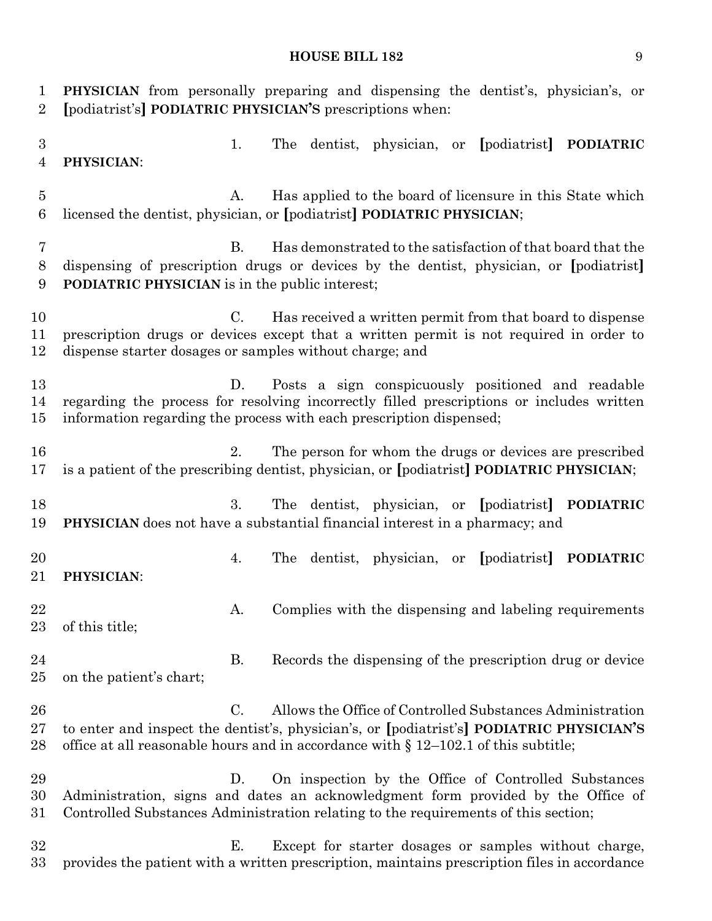**PHYSICIAN** from personally preparing and dispensing the dentist's, physician's, or **[**podiatrist's**] PODIATRIC PHYSICIAN'S** prescriptions when: 1. The dentist, physician, or **[**podiatrist**] PODIATRIC PHYSICIAN**: A. Has applied to the board of licensure in this State which licensed the dentist, physician, or **[**podiatrist**] PODIATRIC PHYSICIAN**; B. Has demonstrated to the satisfaction of that board that the dispensing of prescription drugs or devices by the dentist, physician, or **[**podiatrist**] PODIATRIC PHYSICIAN** is in the public interest; C. Has received a written permit from that board to dispense prescription drugs or devices except that a written permit is not required in order to dispense starter dosages or samples without charge; and D. Posts a sign conspicuously positioned and readable regarding the process for resolving incorrectly filled prescriptions or includes written information regarding the process with each prescription dispensed; 2. The person for whom the drugs or devices are prescribed is a patient of the prescribing dentist, physician, or **[**podiatrist**] PODIATRIC PHYSICIAN**; 3. The dentist, physician, or **[**podiatrist**] PODIATRIC PHYSICIAN** does not have a substantial financial interest in a pharmacy; and 4. The dentist, physician, or **[**podiatrist**] PODIATRIC PHYSICIAN**: 22 A. Complies with the dispensing and labeling requirements of this title; 24 B. Records the dispensing of the prescription drug or device on the patient's chart; C. Allows the Office of Controlled Substances Administration to enter and inspect the dentist's, physician's, or **[**podiatrist's**] PODIATRIC PHYSICIAN'S** office at all reasonable hours and in accordance with § 12–102.1 of this subtitle; D. On inspection by the Office of Controlled Substances Administration, signs and dates an acknowledgment form provided by the Office of Controlled Substances Administration relating to the requirements of this section; E. Except for starter dosages or samples without charge, provides the patient with a written prescription, maintains prescription files in accordance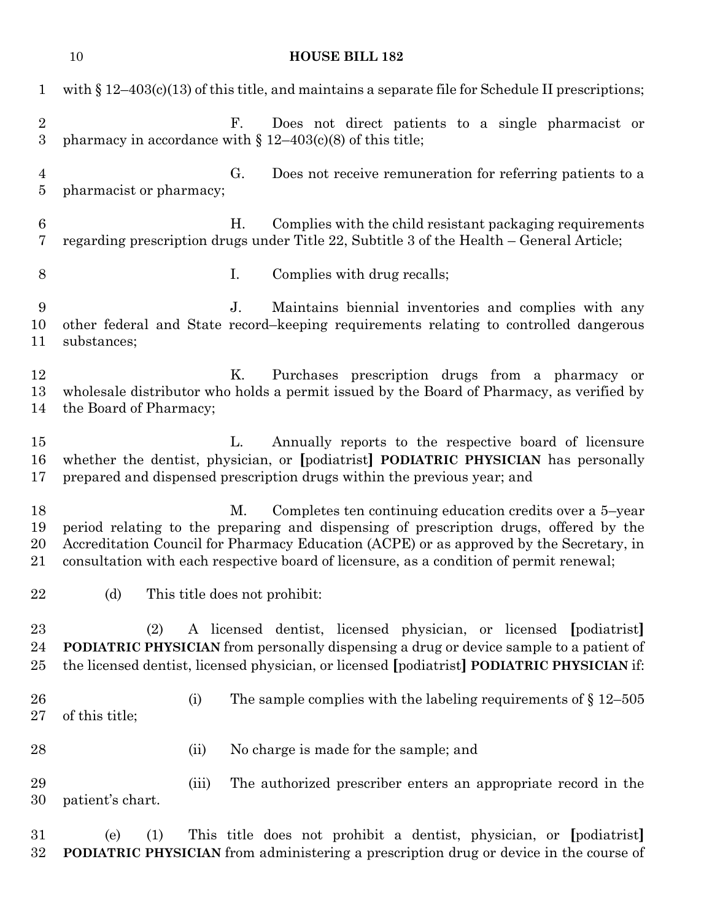|                                  | 10                        | <b>HOUSE BILL 182</b>                                                                                                                                                                                                                                                                                                                         |
|----------------------------------|---------------------------|-----------------------------------------------------------------------------------------------------------------------------------------------------------------------------------------------------------------------------------------------------------------------------------------------------------------------------------------------|
| $\mathbf 1$                      |                           | with $\S 12-403(c)(13)$ of this title, and maintains a separate file for Schedule II prescriptions;                                                                                                                                                                                                                                           |
| $\sqrt{2}$<br>$\overline{3}$     |                           | F.<br>Does not direct patients to a single pharmacist or<br>pharmacy in accordance with $\S 12-403(c)(8)$ of this title;                                                                                                                                                                                                                      |
| $\overline{4}$<br>$\overline{5}$ | pharmacist or pharmacy;   | G.<br>Does not receive remuneration for referring patients to a                                                                                                                                                                                                                                                                               |
| $\,6\,$<br>7                     |                           | Η.<br>Complies with the child resistant packaging requirements<br>regarding prescription drugs under Title 22, Subtitle 3 of the Health – General Article;                                                                                                                                                                                    |
| 8                                |                           | I.<br>Complies with drug recalls;                                                                                                                                                                                                                                                                                                             |
| 9<br>10<br>11                    | substances;               | $J_{\cdot}$<br>Maintains biennial inventories and complies with any<br>other federal and State record-keeping requirements relating to controlled dangerous                                                                                                                                                                                   |
| 12<br>13<br>14                   | the Board of Pharmacy;    | Κ.<br>Purchases prescription drugs from a pharmacy or<br>wholesale distributor who holds a permit issued by the Board of Pharmacy, as verified by                                                                                                                                                                                             |
| 15<br>16<br>17                   |                           | Annually reports to the respective board of licensure<br>L.<br>whether the dentist, physician, or [podiatrist] PODIATRIC PHYSICIAN has personally<br>prepared and dispensed prescription drugs within the previous year; and                                                                                                                  |
| 18<br>19<br>20<br>21             |                           | М.<br>Completes ten continuing education credits over a 5-year<br>period relating to the preparing and dispensing of prescription drugs, offered by the<br>Accreditation Council for Pharmacy Education (ACPE) or as approved by the Secretary, in<br>consultation with each respective board of licensure, as a condition of permit renewal; |
| 22                               | (d)                       | This title does not prohibit:                                                                                                                                                                                                                                                                                                                 |
| 23<br>24<br>25                   | (2)                       | A licensed dentist, licensed physician, or licensed [podiatrist]<br><b>PODIATRIC PHYSICIAN</b> from personally dispensing a drug or device sample to a patient of<br>the licensed dentist, licensed physician, or licensed [podiatrist] PODIATRIC PHYSICIAN if:                                                                               |
| 26<br>27                         | (i)<br>of this title;     | The sample complies with the labeling requirements of $\S 12-505$                                                                                                                                                                                                                                                                             |
| 28                               | (ii)                      | No charge is made for the sample; and                                                                                                                                                                                                                                                                                                         |
| 29<br>30                         | (iii)<br>patient's chart. | The authorized prescriber enters an appropriate record in the                                                                                                                                                                                                                                                                                 |
| 31<br>32                         | (1)<br>(e)                | This title does not prohibit a dentist, physician, or [podiatrist]<br><b>PODIATRIC PHYSICIAN</b> from administering a prescription drug or device in the course of                                                                                                                                                                            |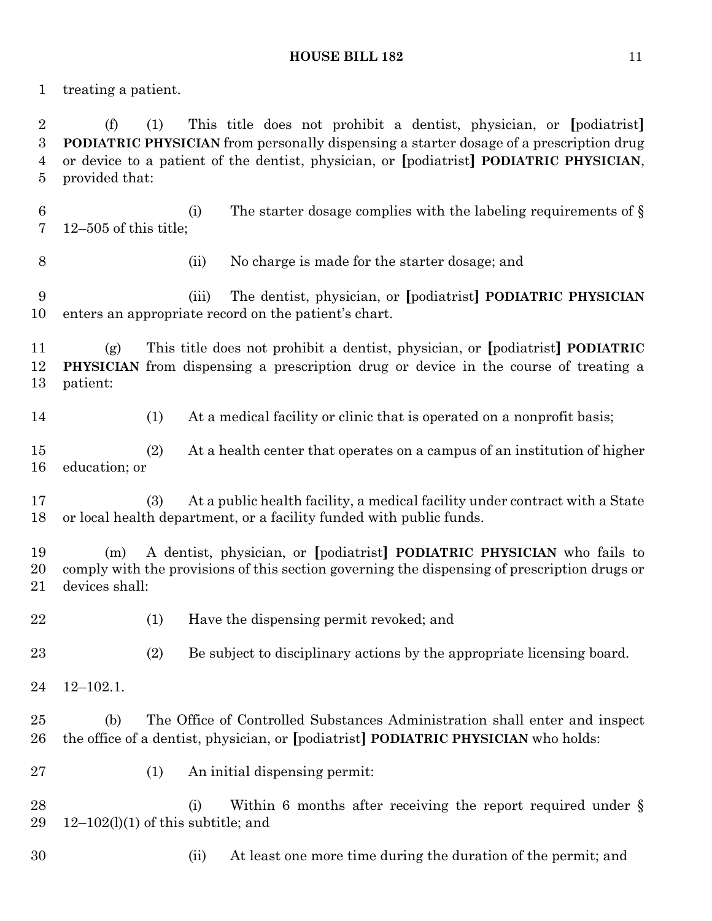treating a patient.

 (f) (1) This title does not prohibit a dentist, physician, or **[**podiatrist**] PODIATRIC PHYSICIAN** from personally dispensing a starter dosage of a prescription drug or device to a patient of the dentist, physician, or **[**podiatrist**] PODIATRIC PHYSICIAN**, provided that:

6 (i) The starter dosage complies with the labeling requirements of  $\S$ 12–505 of this title;

(ii) No charge is made for the starter dosage; and

 (iii) The dentist, physician, or **[**podiatrist**] PODIATRIC PHYSICIAN**  enters an appropriate record on the patient's chart.

 (g) This title does not prohibit a dentist, physician, or **[**podiatrist**] PODIATRIC PHYSICIAN** from dispensing a prescription drug or device in the course of treating a patient:

(1) At a medical facility or clinic that is operated on a nonprofit basis;

 (2) At a health center that operates on a campus of an institution of higher education; or

 (3) At a public health facility, a medical facility under contract with a State or local health department, or a facility funded with public funds.

 (m) A dentist, physician, or **[**podiatrist**] PODIATRIC PHYSICIAN** who fails to comply with the provisions of this section governing the dispensing of prescription drugs or devices shall:

- (1) Have the dispensing permit revoked; and
- (2) Be subject to disciplinary actions by the appropriate licensing board.
- 12–102.1.

 (b) The Office of Controlled Substances Administration shall enter and inspect the office of a dentist, physician, or **[**podiatrist**] PODIATRIC PHYSICIAN** who holds:

(1) An initial dispensing permit:

28 (i) Within 6 months after receiving the report required under § 29  $12-102(1)(1)$  of this subtitle; and

- 
- (ii) At least one more time during the duration of the permit; and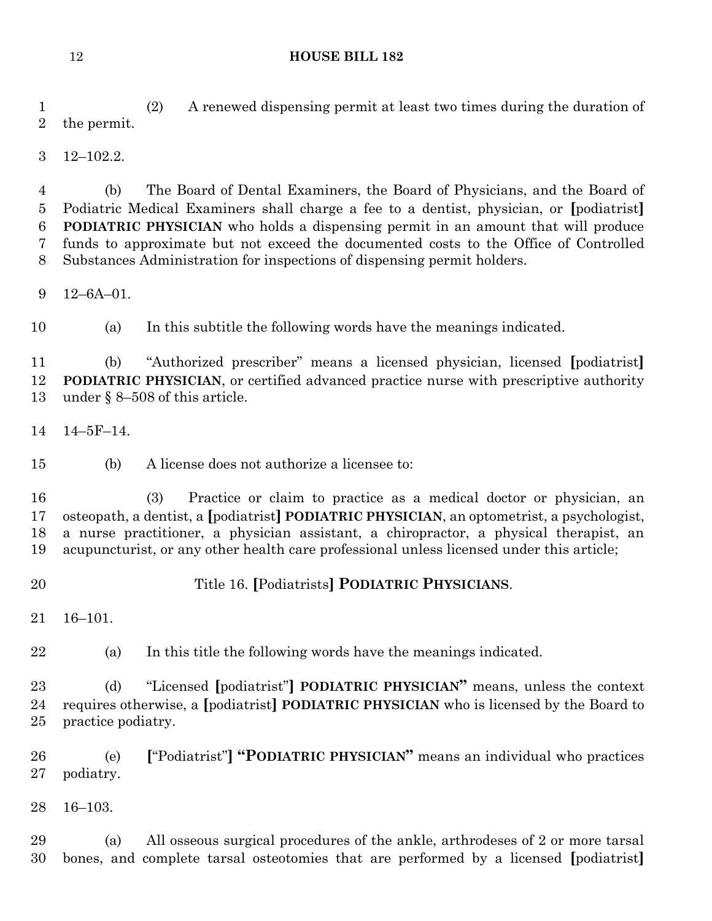(2) A renewed dispensing permit at least two times during the duration of the permit.

12–102.2.

 (b) The Board of Dental Examiners, the Board of Physicians, and the Board of Podiatric Medical Examiners shall charge a fee to a dentist, physician, or **[**podiatrist**] PODIATRIC PHYSICIAN** who holds a dispensing permit in an amount that will produce funds to approximate but not exceed the documented costs to the Office of Controlled Substances Administration for inspections of dispensing permit holders.

12–6A–01.

(a) In this subtitle the following words have the meanings indicated.

 (b) "Authorized prescriber" means a licensed physician, licensed **[**podiatrist**] PODIATRIC PHYSICIAN**, or certified advanced practice nurse with prescriptive authority under § 8–508 of this article.

14–5F–14.

(b) A license does not authorize a licensee to:

 (3) Practice or claim to practice as a medical doctor or physician, an osteopath, a dentist, a **[**podiatrist**] PODIATRIC PHYSICIAN**, an optometrist, a psychologist, a nurse practitioner, a physician assistant, a chiropractor, a physical therapist, an acupuncturist, or any other health care professional unless licensed under this article;

Title 16. **[**Podiatrists**] PODIATRIC PHYSICIANS**.

16–101.

(a) In this title the following words have the meanings indicated.

 (d) "Licensed **[**podiatrist"**] PODIATRIC PHYSICIAN"** means, unless the context requires otherwise, a **[**podiatrist**] PODIATRIC PHYSICIAN** who is licensed by the Board to practice podiatry.

 (e) **[**"Podiatrist"**] "PODIATRIC PHYSICIAN"** means an individual who practices podiatry.

16–103.

 (a) All osseous surgical procedures of the ankle, arthrodeses of 2 or more tarsal bones, and complete tarsal osteotomies that are performed by a licensed **[**podiatrist**]**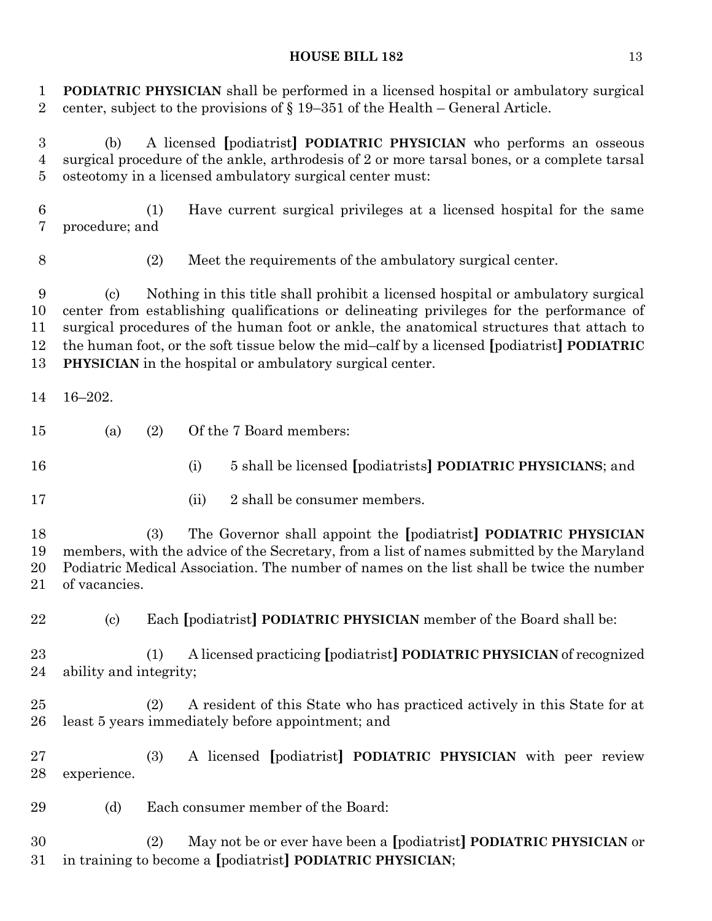**PODIATRIC PHYSICIAN** shall be performed in a licensed hospital or ambulatory surgical center, subject to the provisions of § 19–351 of the Health – General Article.

 (b) A licensed **[**podiatrist**] PODIATRIC PHYSICIAN** who performs an osseous surgical procedure of the ankle, arthrodesis of 2 or more tarsal bones, or a complete tarsal osteotomy in a licensed ambulatory surgical center must:

 (1) Have current surgical privileges at a licensed hospital for the same procedure; and

(2) Meet the requirements of the ambulatory surgical center.

 (c) Nothing in this title shall prohibit a licensed hospital or ambulatory surgical center from establishing qualifications or delineating privileges for the performance of surgical procedures of the human foot or ankle, the anatomical structures that attach to the human foot, or the soft tissue below the mid–calf by a licensed **[**podiatrist**] PODIATRIC PHYSICIAN** in the hospital or ambulatory surgical center.

- 16–202.
- (a) (2) Of the 7 Board members:
- 
- (i) 5 shall be licensed **[**podiatrists**] PODIATRIC PHYSICIANS**; and
- 
- 17 (ii) 2 shall be consumer members.

 (3) The Governor shall appoint the **[**podiatrist**] PODIATRIC PHYSICIAN** members, with the advice of the Secretary, from a list of names submitted by the Maryland Podiatric Medical Association. The number of names on the list shall be twice the number of vacancies.

(c) Each **[**podiatrist**] PODIATRIC PHYSICIAN** member of the Board shall be:

 (1) A licensed practicing **[**podiatrist**] PODIATRIC PHYSICIAN** of recognized ability and integrity;

 (2) A resident of this State who has practiced actively in this State for at least 5 years immediately before appointment; and

 (3) A licensed **[**podiatrist**] PODIATRIC PHYSICIAN** with peer review experience.

(d) Each consumer member of the Board:

 (2) May not be or ever have been a **[**podiatrist**] PODIATRIC PHYSICIAN** or in training to become a **[**podiatrist**] PODIATRIC PHYSICIAN**;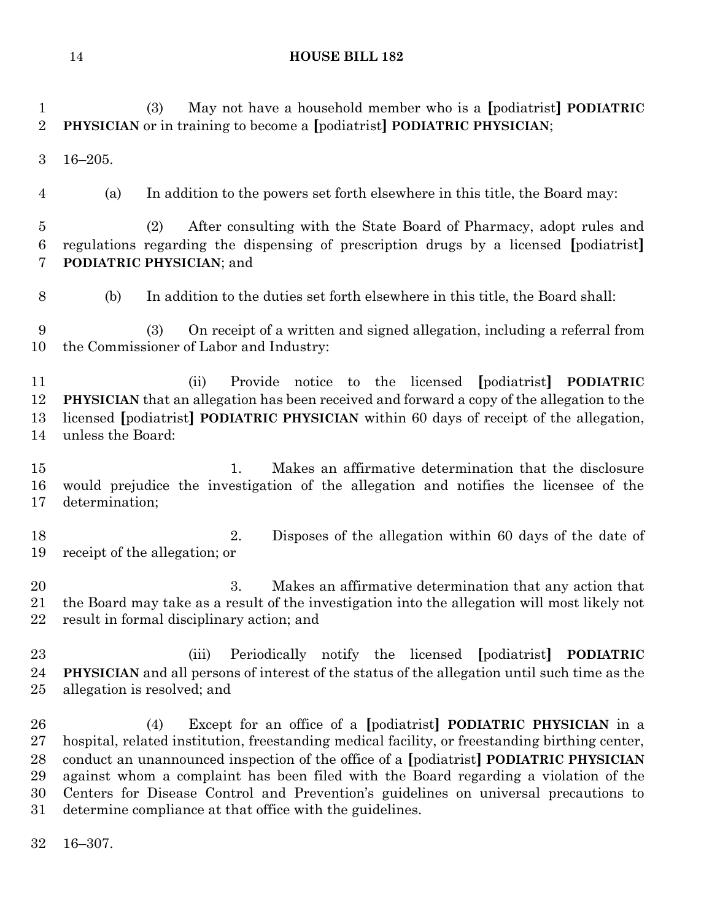| 1<br>$\overline{2}$                      | May not have a household member who is a [podiatrist] <b>PODIATRIC</b><br>(3)<br>PHYSICIAN or in training to become a [podiatrist] PODIATRIC PHYSICIAN;                                                                                                                                                                                                                                                                                                                                                     |  |
|------------------------------------------|-------------------------------------------------------------------------------------------------------------------------------------------------------------------------------------------------------------------------------------------------------------------------------------------------------------------------------------------------------------------------------------------------------------------------------------------------------------------------------------------------------------|--|
| 3                                        | $16 - 205.$                                                                                                                                                                                                                                                                                                                                                                                                                                                                                                 |  |
| 4                                        | In addition to the powers set forth elsewhere in this title, the Board may:<br>(a)                                                                                                                                                                                                                                                                                                                                                                                                                          |  |
| $\overline{5}$<br>6<br>7                 | After consulting with the State Board of Pharmacy, adopt rules and<br>(2)<br>regulations regarding the dispensing of prescription drugs by a licensed [podiatrist]<br><b>PODIATRIC PHYSICIAN; and</b>                                                                                                                                                                                                                                                                                                       |  |
| 8                                        | In addition to the duties set forth elsewhere in this title, the Board shall:<br>(b)                                                                                                                                                                                                                                                                                                                                                                                                                        |  |
| 9<br>10                                  | (3)<br>On receipt of a written and signed allegation, including a referral from<br>the Commissioner of Labor and Industry:                                                                                                                                                                                                                                                                                                                                                                                  |  |
| 11<br>12<br>13<br>14                     | notice to the licensed [podiatrist]<br>(ii)<br>Provide<br><b>PODIATRIC</b><br><b>PHYSICIAN</b> that an allegation has been received and forward a copy of the allegation to the<br>licensed [podiatrist] <b>PODIATRIC PHYSICIAN</b> within 60 days of receipt of the allegation,<br>unless the Board:                                                                                                                                                                                                       |  |
| 15<br>16<br>17                           | 1.<br>Makes an affirmative determination that the disclosure<br>would prejudice the investigation of the allegation and notifies the licensee of the<br>determination;                                                                                                                                                                                                                                                                                                                                      |  |
| 18<br>19                                 | Disposes of the allegation within 60 days of the date of<br>2.<br>receipt of the allegation; or                                                                                                                                                                                                                                                                                                                                                                                                             |  |
| 20<br>21<br>22                           | 3.<br>Makes an affirmative determination that any action that<br>the Board may take as a result of the investigation into the allegation will most likely not<br>result in formal disciplinary action; and                                                                                                                                                                                                                                                                                                  |  |
| 23<br>24<br>25                           | Periodically notify the licensed [podiatrist]<br>(iii)<br><b>PODIATRIC</b><br><b>PHYSICIAN</b> and all persons of interest of the status of the allegation until such time as the<br>allegation is resolved; and                                                                                                                                                                                                                                                                                            |  |
| 26<br>$27\,$<br>28<br>29<br>30<br>$31\,$ | Except for an office of a [podiatrist] PODIATRIC PHYSICIAN in a<br>(4)<br>hospital, related institution, freestanding medical facility, or freestanding birthing center,<br>conduct an unannounced inspection of the office of a [podiatrist] PODIATRIC PHYSICIAN<br>against whom a complaint has been filed with the Board regarding a violation of the<br>Centers for Disease Control and Prevention's guidelines on universal precautions to<br>determine compliance at that office with the guidelines. |  |

16–307.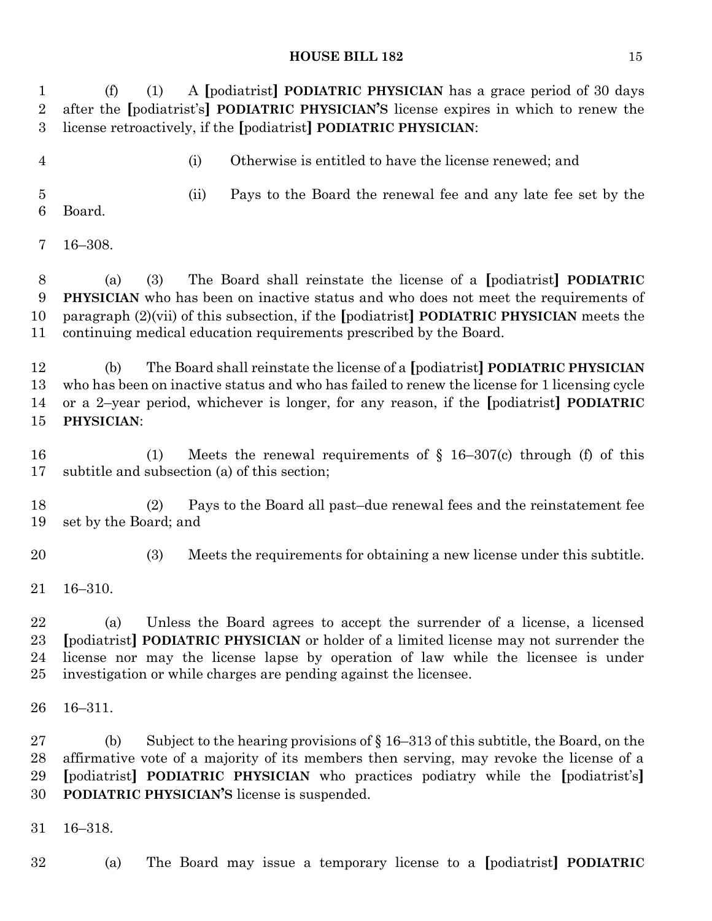(f) (1) A **[**podiatrist**] PODIATRIC PHYSICIAN** has a grace period of 30 days after the **[**podiatrist's**] PODIATRIC PHYSICIAN'S** license expires in which to renew the license retroactively, if the **[**podiatrist**] PODIATRIC PHYSICIAN**: (i) Otherwise is entitled to have the license renewed; and (ii) Pays to the Board the renewal fee and any late fee set by the Board. 16–308. (a) (3) The Board shall reinstate the license of a **[**podiatrist**] PODIATRIC PHYSICIAN** who has been on inactive status and who does not meet the requirements of paragraph (2)(vii) of this subsection, if the **[**podiatrist**] PODIATRIC PHYSICIAN** meets the continuing medical education requirements prescribed by the Board. (b) The Board shall reinstate the license of a **[**podiatrist**] PODIATRIC PHYSICIAN** who has been on inactive status and who has failed to renew the license for 1 licensing cycle or a 2–year period, whichever is longer, for any reason, if the **[**podiatrist**] PODIATRIC PHYSICIAN**: (1) Meets the renewal requirements of § 16–307(c) through (f) of this subtitle and subsection (a) of this section; (2) Pays to the Board all past–due renewal fees and the reinstatement fee set by the Board; and (3) Meets the requirements for obtaining a new license under this subtitle. 16–310. (a) Unless the Board agrees to accept the surrender of a license, a licensed **[**podiatrist**] PODIATRIC PHYSICIAN** or holder of a limited license may not surrender the license nor may the license lapse by operation of law while the licensee is under investigation or while charges are pending against the licensee. 16–311. (b) Subject to the hearing provisions of § 16–313 of this subtitle, the Board, on the affirmative vote of a majority of its members then serving, may revoke the license of a **[**podiatrist**] PODIATRIC PHYSICIAN** who practices podiatry while the **[**podiatrist's**] PODIATRIC PHYSICIAN'S** license is suspended. 16–318.

(a) The Board may issue a temporary license to a **[**podiatrist**] PODIATRIC**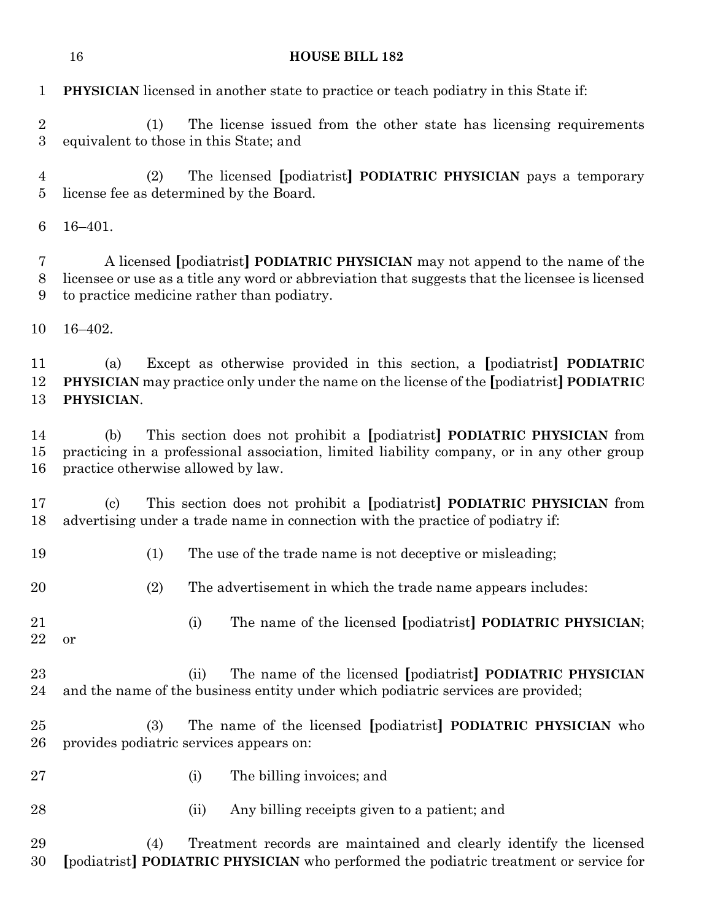|                     | 16                                                                                                                                                                                                                                    | <b>HOUSE BILL 182</b>                                                                                                                                                                  |
|---------------------|---------------------------------------------------------------------------------------------------------------------------------------------------------------------------------------------------------------------------------------|----------------------------------------------------------------------------------------------------------------------------------------------------------------------------------------|
| $\mathbf{1}$        |                                                                                                                                                                                                                                       | <b>PHYSICIAN</b> licensed in another state to practice or teach podiatry in this State if:                                                                                             |
| $\sqrt{2}$<br>3     |                                                                                                                                                                                                                                       | The license issued from the other state has licensing requirements<br>(1)<br>equivalent to those in this State; and                                                                    |
| $\overline{4}$<br>5 |                                                                                                                                                                                                                                       | The licensed [podiatrist] PODIATRIC PHYSICIAN pays a temporary<br>(2)<br>license fee as determined by the Board.                                                                       |
| 6                   | $16 - 401.$                                                                                                                                                                                                                           |                                                                                                                                                                                        |
| 7<br>8<br>9         | A licensed [podiatrist] <b>PODIATRIC PHYSICIAN</b> may not append to the name of the<br>licensee or use as a title any word or abbreviation that suggests that the licensee is licensed<br>to practice medicine rather than podiatry. |                                                                                                                                                                                        |
| 10                  | $16 - 402.$                                                                                                                                                                                                                           |                                                                                                                                                                                        |
| 11<br>12<br>13      | (a)<br>PHYSICIAN.                                                                                                                                                                                                                     | Except as otherwise provided in this section, a [podiatrist] <b>PODIATRIC</b><br><b>PHYSICIAN</b> may practice only under the name on the license of the [podiatrist] <b>PODIATRIC</b> |
| 14<br>15<br>16      | This section does not prohibit a [podiatrist] PODIATRIC PHYSICIAN from<br>(b)<br>practicing in a professional association, limited liability company, or in any other group<br>practice otherwise allowed by law.                     |                                                                                                                                                                                        |
| 17<br>18            | $\left( \mathrm{c}\right)$                                                                                                                                                                                                            | This section does not prohibit a [podiatrist] PODIATRIC PHYSICIAN from<br>advertising under a trade name in connection with the practice of podiatry if:                               |
| 19                  |                                                                                                                                                                                                                                       | The use of the trade name is not deceptive or misleading;<br>(1)                                                                                                                       |
| 20                  |                                                                                                                                                                                                                                       | (2)<br>The advertisement in which the trade name appears includes:                                                                                                                     |
| 21<br>22            | or                                                                                                                                                                                                                                    | The name of the licensed [podiatrist] PODIATRIC PHYSICIAN;<br>(i)                                                                                                                      |
| 23<br>24            |                                                                                                                                                                                                                                       | The name of the licensed [podiatrist] PODIATRIC PHYSICIAN<br>(ii)<br>and the name of the business entity under which podiatric services are provided;                                  |
| 25<br>26            |                                                                                                                                                                                                                                       | The name of the licensed [podiatrist] PODIATRIC PHYSICIAN who<br>(3)<br>provides podiatric services appears on:                                                                        |
| 27                  |                                                                                                                                                                                                                                       | The billing invoices; and<br>(i)                                                                                                                                                       |
| 28                  |                                                                                                                                                                                                                                       | (ii)<br>Any billing receipts given to a patient; and                                                                                                                                   |
| 29<br>30            |                                                                                                                                                                                                                                       | Treatment records are maintained and clearly identify the licensed<br>(4)<br>[podiatrist] PODIATRIC PHYSICIAN who performed the podiatric treatment or service for                     |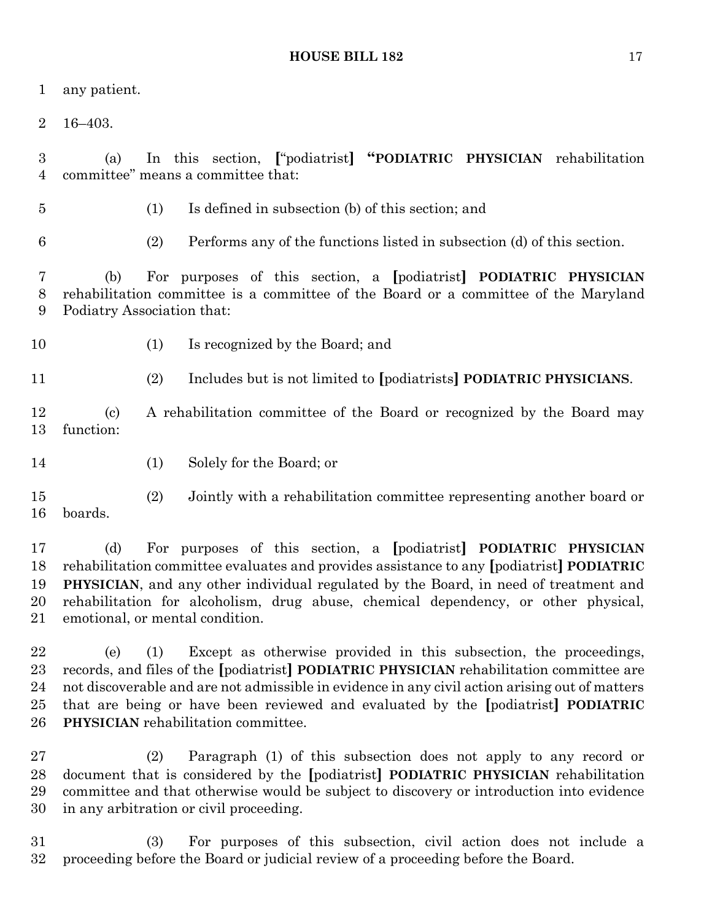any patient.

16–403.

 (a) In this section, **[**"podiatrist**] "PODIATRIC PHYSICIAN** rehabilitation committee" means a committee that:

(1) Is defined in subsection (b) of this section; and

(2) Performs any of the functions listed in subsection (d) of this section.

 (b) For purposes of this section, a **[**podiatrist**] PODIATRIC PHYSICIAN** rehabilitation committee is a committee of the Board or a committee of the Maryland Podiatry Association that:

(1) Is recognized by the Board; and

(2) Includes but is not limited to **[**podiatrists**] PODIATRIC PHYSICIANS**.

 (c) A rehabilitation committee of the Board or recognized by the Board may function:

14 (1) Solely for the Board; or

 (2) Jointly with a rehabilitation committee representing another board or boards.

 (d) For purposes of this section, a **[**podiatrist**] PODIATRIC PHYSICIAN** rehabilitation committee evaluates and provides assistance to any **[**podiatrist**] PODIATRIC PHYSICIAN**, and any other individual regulated by the Board, in need of treatment and rehabilitation for alcoholism, drug abuse, chemical dependency, or other physical, emotional, or mental condition.

 (e) (1) Except as otherwise provided in this subsection, the proceedings, records, and files of the **[**podiatrist**] PODIATRIC PHYSICIAN** rehabilitation committee are not discoverable and are not admissible in evidence in any civil action arising out of matters that are being or have been reviewed and evaluated by the **[**podiatrist**] PODIATRIC PHYSICIAN** rehabilitation committee.

 (2) Paragraph (1) of this subsection does not apply to any record or document that is considered by the **[**podiatrist**] PODIATRIC PHYSICIAN** rehabilitation committee and that otherwise would be subject to discovery or introduction into evidence in any arbitration or civil proceeding.

 (3) For purposes of this subsection, civil action does not include a proceeding before the Board or judicial review of a proceeding before the Board.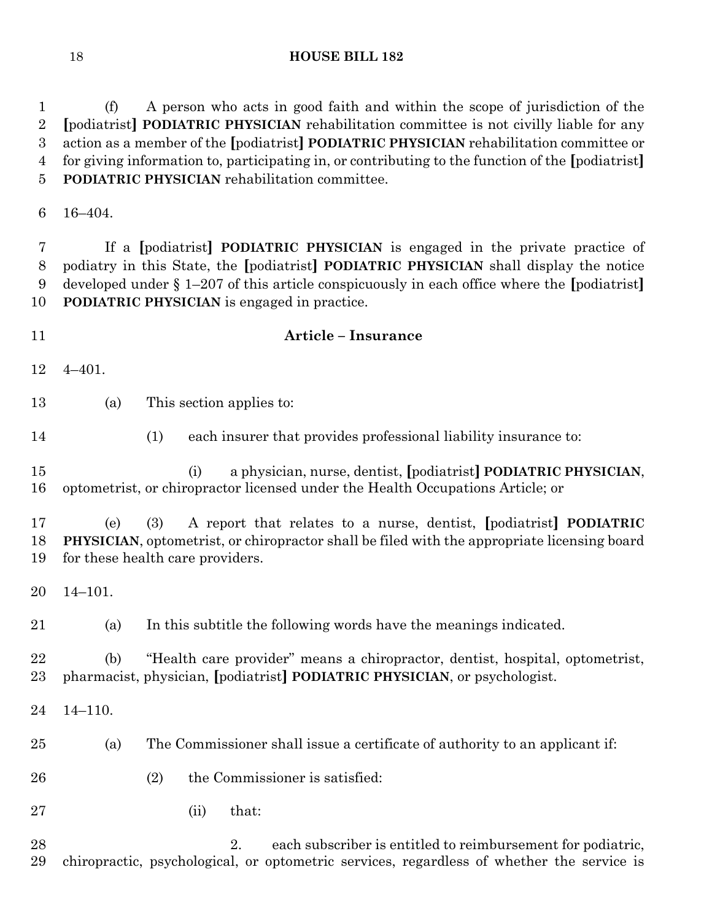(f) A person who acts in good faith and within the scope of jurisdiction of the **[**podiatrist**] PODIATRIC PHYSICIAN** rehabilitation committee is not civilly liable for any action as a member of the **[**podiatrist**] PODIATRIC PHYSICIAN** rehabilitation committee or for giving information to, participating in, or contributing to the function of the **[**podiatrist**] PODIATRIC PHYSICIAN** rehabilitation committee.

16–404.

 If a **[**podiatrist**] PODIATRIC PHYSICIAN** is engaged in the private practice of podiatry in this State, the **[**podiatrist**] PODIATRIC PHYSICIAN** shall display the notice developed under § 1–207 of this article conspicuously in each office where the **[**podiatrist**] PODIATRIC PHYSICIAN** is engaged in practice.

 **Article – Insurance** 4–401.

(a) This section applies to:

(1) each insurer that provides professional liability insurance to:

 (i) a physician, nurse, dentist, **[**podiatrist**] PODIATRIC PHYSICIAN**, optometrist, or chiropractor licensed under the Health Occupations Article; or

 (e) (3) A report that relates to a nurse, dentist, **[**podiatrist**] PODIATRIC PHYSICIAN**, optometrist, or chiropractor shall be filed with the appropriate licensing board for these health care providers.

14–101.

(a) In this subtitle the following words have the meanings indicated.

 (b) "Health care provider" means a chiropractor, dentist, hospital, optometrist, pharmacist, physician, **[**podiatrist**] PODIATRIC PHYSICIAN**, or psychologist.

14–110.

- (a) The Commissioner shall issue a certificate of authority to an applicant if:
- (2) the Commissioner is satisfied:
- (ii) that:

28 2. each subscriber is entitled to reimbursement for podiatric, chiropractic, psychological, or optometric services, regardless of whether the service is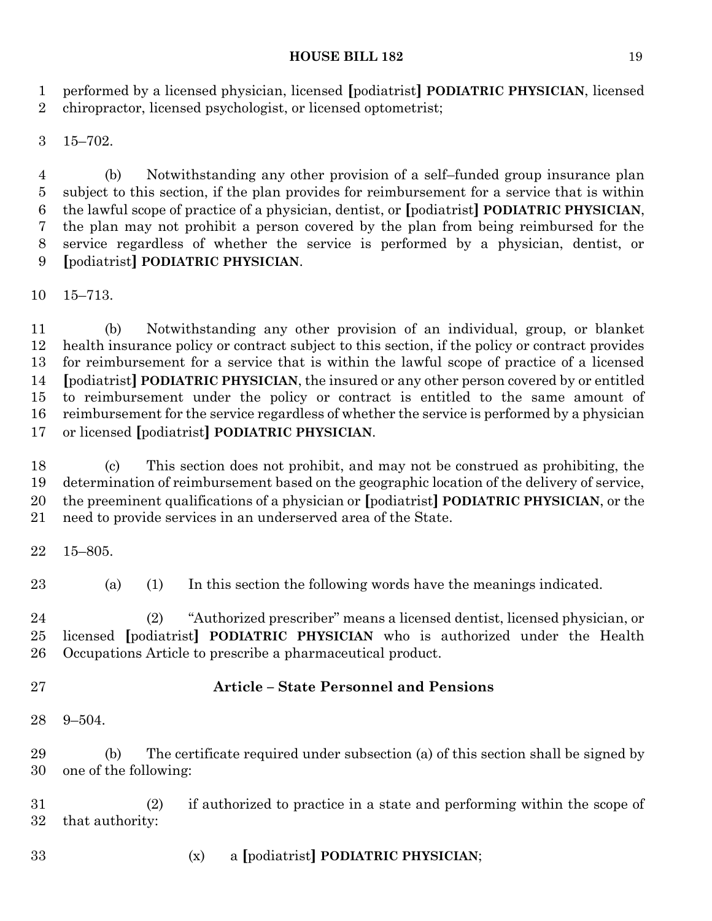performed by a licensed physician, licensed **[**podiatrist**] PODIATRIC PHYSICIAN**, licensed chiropractor, licensed psychologist, or licensed optometrist;

15–702.

 (b) Notwithstanding any other provision of a self–funded group insurance plan subject to this section, if the plan provides for reimbursement for a service that is within the lawful scope of practice of a physician, dentist, or **[**podiatrist**] PODIATRIC PHYSICIAN**, the plan may not prohibit a person covered by the plan from being reimbursed for the service regardless of whether the service is performed by a physician, dentist, or **[**podiatrist**] PODIATRIC PHYSICIAN**.

15–713.

 (b) Notwithstanding any other provision of an individual, group, or blanket health insurance policy or contract subject to this section, if the policy or contract provides for reimbursement for a service that is within the lawful scope of practice of a licensed **[**podiatrist**] PODIATRIC PHYSICIAN**, the insured or any other person covered by or entitled to reimbursement under the policy or contract is entitled to the same amount of reimbursement for the service regardless of whether the service is performed by a physician or licensed **[**podiatrist**] PODIATRIC PHYSICIAN**.

 (c) This section does not prohibit, and may not be construed as prohibiting, the determination of reimbursement based on the geographic location of the delivery of service, the preeminent qualifications of a physician or **[**podiatrist**] PODIATRIC PHYSICIAN**, or the need to provide services in an underserved area of the State.

15–805.

(a) (1) In this section the following words have the meanings indicated.

 (2) "Authorized prescriber" means a licensed dentist, licensed physician, or licensed **[**podiatrist**] PODIATRIC PHYSICIAN** who is authorized under the Health Occupations Article to prescribe a pharmaceutical product.

# **Article – State Personnel and Pensions**

9–504.

 (b) The certificate required under subsection (a) of this section shall be signed by one of the following:

 (2) if authorized to practice in a state and performing within the scope of that authority:

(x) a **[**podiatrist**] PODIATRIC PHYSICIAN**;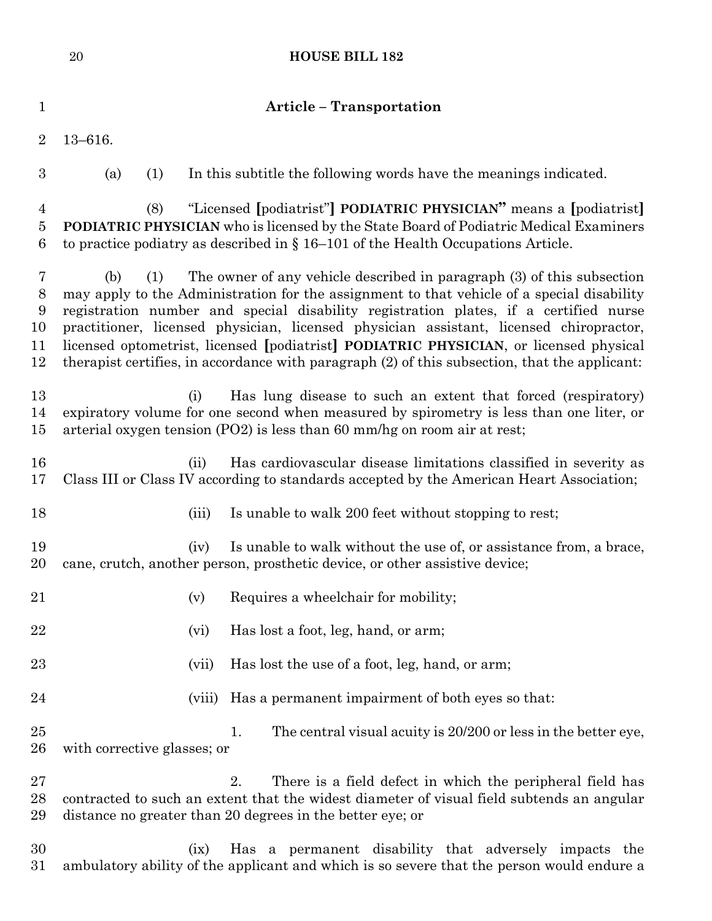|                                 | $20\,$                      | <b>HOUSE BILL 182</b>                                                                                                                                                                                                                                                                                                                                                                                                                                                                                                                            |
|---------------------------------|-----------------------------|--------------------------------------------------------------------------------------------------------------------------------------------------------------------------------------------------------------------------------------------------------------------------------------------------------------------------------------------------------------------------------------------------------------------------------------------------------------------------------------------------------------------------------------------------|
| $\mathbf 1$                     |                             | <b>Article - Transportation</b>                                                                                                                                                                                                                                                                                                                                                                                                                                                                                                                  |
| $\overline{2}$                  | $13 - 616.$                 |                                                                                                                                                                                                                                                                                                                                                                                                                                                                                                                                                  |
| $\boldsymbol{3}$                | (a)<br>(1)                  | In this subtitle the following words have the meanings indicated.                                                                                                                                                                                                                                                                                                                                                                                                                                                                                |
| $\overline{4}$<br>$\bf{5}$<br>6 | (8)                         | "Licensed [podiatrist"] PODIATRIC PHYSICIAN" means a [podiatrist]<br><b>PODIATRIC PHYSICIAN</b> who is licensed by the State Board of Podiatric Medical Examiners<br>to practice podiatry as described in $\S 16-101$ of the Health Occupations Article.                                                                                                                                                                                                                                                                                         |
| 7<br>8<br>9<br>10<br>11<br>12   | (b)<br>(1)                  | The owner of any vehicle described in paragraph (3) of this subsection<br>may apply to the Administration for the assignment to that vehicle of a special disability<br>registration number and special disability registration plates, if a certified nurse<br>practitioner, licensed physician, licensed physician assistant, licensed chiropractor,<br>licensed optometrist, licensed [podiatrist] PODIATRIC PHYSICIAN, or licensed physical<br>therapist certifies, in accordance with paragraph (2) of this subsection, that the applicant: |
| 13<br>14<br>15                  |                             | Has lung disease to such an extent that forced (respiratory)<br>(i)<br>expiratory volume for one second when measured by spirometry is less than one liter, or<br>arterial oxygen tension (PO2) is less than 60 mm/hg on room air at rest;                                                                                                                                                                                                                                                                                                       |
| 16<br>17                        |                             | Has cardiovascular disease limitations classified in severity as<br>(ii)<br>Class III or Class IV according to standards accepted by the American Heart Association;                                                                                                                                                                                                                                                                                                                                                                             |
| 18                              |                             | Is unable to walk 200 feet without stopping to rest;<br>(iii)                                                                                                                                                                                                                                                                                                                                                                                                                                                                                    |
| 19<br>20                        |                             | Is unable to walk without the use of, or assistance from, a brace,<br>(iv)<br>cane, crutch, another person, prosthetic device, or other assistive device;                                                                                                                                                                                                                                                                                                                                                                                        |
| 21                              |                             | Requires a wheelchair for mobility;<br>(v)                                                                                                                                                                                                                                                                                                                                                                                                                                                                                                       |
| 22                              |                             | Has lost a foot, leg, hand, or arm;<br>(vi)                                                                                                                                                                                                                                                                                                                                                                                                                                                                                                      |
| 23                              |                             | Has lost the use of a foot, leg, hand, or arm;<br>(vii)                                                                                                                                                                                                                                                                                                                                                                                                                                                                                          |
| 24                              |                             | Has a permanent impairment of both eyes so that:<br>(viii)                                                                                                                                                                                                                                                                                                                                                                                                                                                                                       |
| $25\,$<br>26                    | with corrective glasses; or | The central visual acuity is 20/200 or less in the better eye,<br>1.                                                                                                                                                                                                                                                                                                                                                                                                                                                                             |
| $27\,$<br>28<br>29              |                             | 2.<br>There is a field defect in which the peripheral field has<br>contracted to such an extent that the widest diameter of visual field subtends an angular<br>distance no greater than 20 degrees in the better eye; or                                                                                                                                                                                                                                                                                                                        |
| 30<br>$31\,$                    |                             | Has a permanent disability that adversely impacts the<br>(ix)<br>ambulatory ability of the applicant and which is so severe that the person would endure a                                                                                                                                                                                                                                                                                                                                                                                       |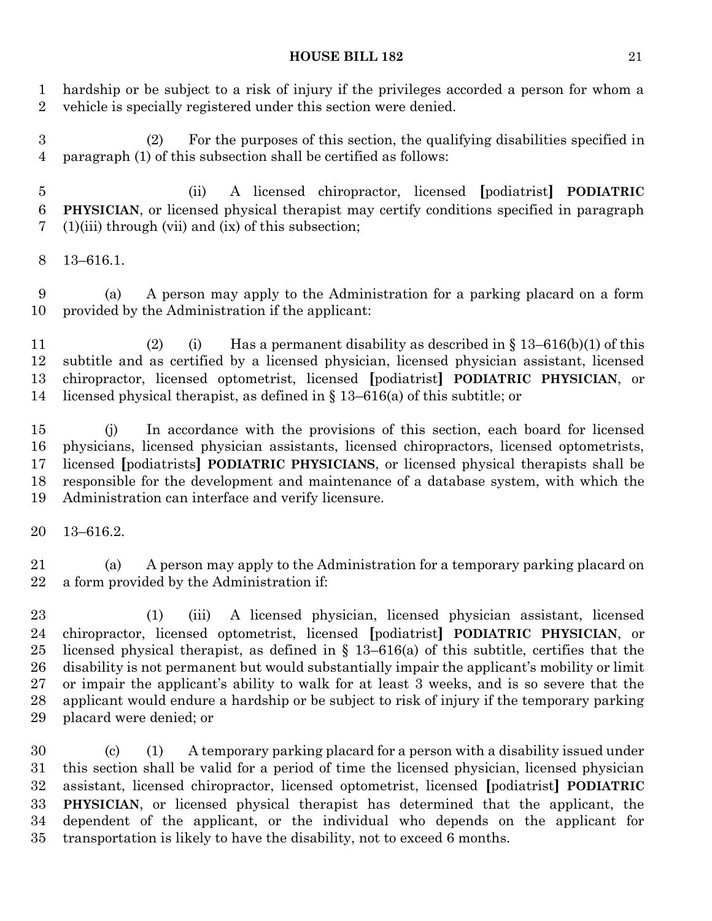hardship or be subject to a risk of injury if the privileges accorded a person for whom a vehicle is specially registered under this section were denied.

 (2) For the purposes of this section, the qualifying disabilities specified in paragraph (1) of this subsection shall be certified as follows:

 (ii) A licensed chiropractor, licensed **[**podiatrist**] PODIATRIC PHYSICIAN**, or licensed physical therapist may certify conditions specified in paragraph (1)(iii) through (vii) and (ix) of this subsection;

13–616.1.

 (a) A person may apply to the Administration for a parking placard on a form provided by the Administration if the applicant:

 (2) (i) Has a permanent disability as described in § 13–616(b)(1) of this subtitle and as certified by a licensed physician, licensed physician assistant, licensed chiropractor, licensed optometrist, licensed **[**podiatrist**] PODIATRIC PHYSICIAN**, or licensed physical therapist, as defined in § 13–616(a) of this subtitle; or

 (j) In accordance with the provisions of this section, each board for licensed physicians, licensed physician assistants, licensed chiropractors, licensed optometrists, licensed **[**podiatrists**] PODIATRIC PHYSICIANS**, or licensed physical therapists shall be responsible for the development and maintenance of a database system, with which the Administration can interface and verify licensure.

13–616.2.

 (a) A person may apply to the Administration for a temporary parking placard on a form provided by the Administration if:

 (1) (iii) A licensed physician, licensed physician assistant, licensed chiropractor, licensed optometrist, licensed **[**podiatrist**] PODIATRIC PHYSICIAN**, or 25 licensed physical therapist, as defined in  $\S$  13–616(a) of this subtitle, certifies that the disability is not permanent but would substantially impair the applicant's mobility or limit or impair the applicant's ability to walk for at least 3 weeks, and is so severe that the applicant would endure a hardship or be subject to risk of injury if the temporary parking placard were denied; or

 (c) (1) A temporary parking placard for a person with a disability issued under this section shall be valid for a period of time the licensed physician, licensed physician assistant, licensed chiropractor, licensed optometrist, licensed **[**podiatrist**] PODIATRIC PHYSICIAN**, or licensed physical therapist has determined that the applicant, the dependent of the applicant, or the individual who depends on the applicant for transportation is likely to have the disability, not to exceed 6 months.